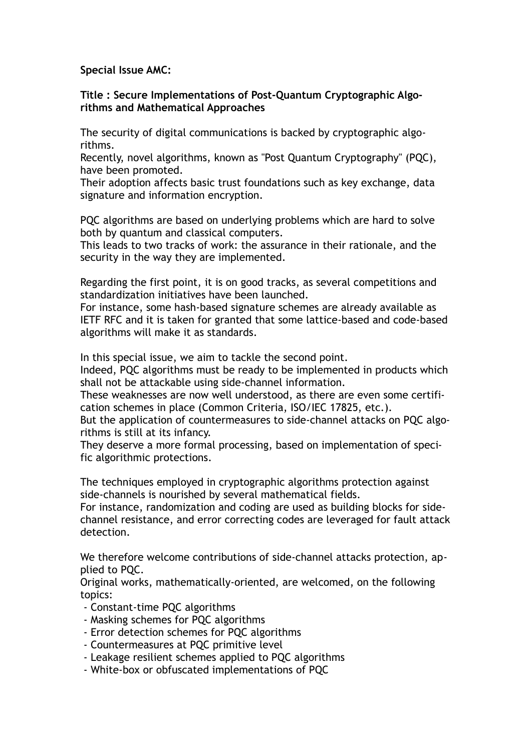**Special Issue AMC:**

**Title : Secure Implementations of Post-Quantum Cryptographic Algorithms and Mathematical Approaches**

The security of digital communications is backed by cryptographic algorithms.

Recently, novel algorithms, known as "Post Quantum Cryptography" (PQC), have been promoted.

Their adoption affects basic trust foundations such as key exchange, data signature and information encryption.

PQC algorithms are based on underlying problems which are hard to solve both by quantum and classical computers.

This leads to two tracks of work: the assurance in their rationale, and the security in the way they are implemented.

Regarding the first point, it is on good tracks, as several competitions and standardization initiatives have been launched.

For instance, some hash-based signature schemes are already available as IETF RFC and it is taken for granted that some lattice-based and code-based algorithms will make it as standards.

In this special issue, we aim to tackle the second point.

Indeed, PQC algorithms must be ready to be implemented in products which shall not be attackable using side-channel information.

These weaknesses are now well understood, as there are even some certification schemes in place (Common Criteria, ISO/IEC 17825, etc.).

But the application of countermeasures to side-channel attacks on PQC algorithms is still at its infancy.

They deserve a more formal processing, based on implementation of specific algorithmic protections.

The techniques employed in cryptographic algorithms protection against side-channels is nourished by several mathematical fields.

For instance, randomization and coding are used as building blocks for sidechannel resistance, and error correcting codes are leveraged for fault attack detection.

We therefore welcome contributions of side-channel attacks protection, applied to PQC.

Original works, mathematically-oriented, are welcomed, on the following topics:

- Constant-time PQC algorithms
- Masking schemes for PQC algorithms
- Error detection schemes for PQC algorithms
- Countermeasures at PQC primitive level
- Leakage resilient schemes applied to PQC algorithms
- White-box or obfuscated implementations of PQC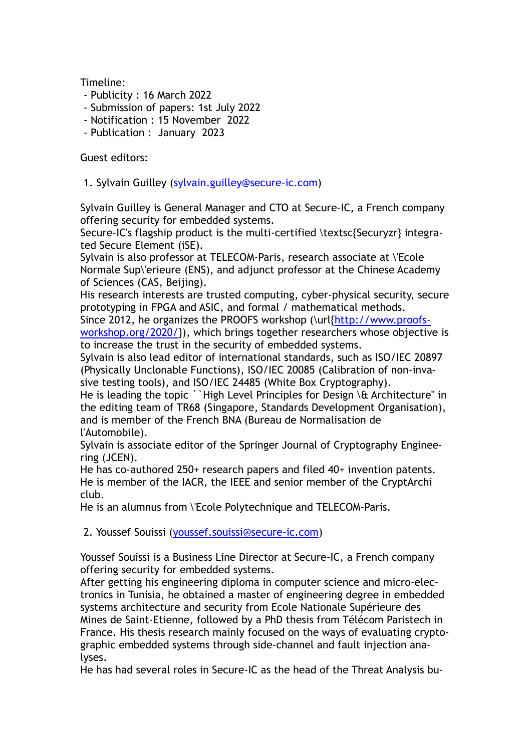Timeline:

- Publicity : 16 March 2022
- Submission of papers: 1st July 2022
- Notification : 15 November 2022
- Publication : January 2023

Guest editors:

1. Sylvain Guilley ([sylvain.guilley@secure-ic.com\)](mailto:sylvain.guilley@secure-ic.com)

Sylvain Guilley is General Manager and CTO at Secure-IC, a French company offering security for embedded systems.

Secure-IC's flagship product is the multi-certified \textsc{Securyzr} integrated Secure Element (iSE).

Sylvain is also professor at TELECOM-Paris, research associate at \'Ecole Normale Sup\'erieure (ENS), and adjunct professor at the Chinese Academy of Sciences (CAS, Beijing).

His research interests are trusted computing, cyber-physical security, secure prototyping in FPGA and ASIC, and formal / mathematical methods.

Since 2012, he organizes the PROOFS workshop (\url{[http://www.proofs](http://www.proofs-workshop.org/2020/)[workshop.org/2020/}](http://www.proofs-workshop.org/2020/)), which brings together researchers whose objective is to increase the trust in the security of embedded systems.

Sylvain is also lead editor of international standards, such as ISO/IEC 20897 (Physically Unclonable Functions), ISO/IEC 20085 (Calibration of non-invasive testing tools), and ISO/IEC 24485 (White Box Cryptography).

He is leading the topic ``High Level Principles for Design \& Architecture" in the editing team of TR68 (Singapore, Standards Development Organisation), and is member of the French BNA (Bureau de Normalisation de l'Automobile).

Sylvain is associate editor of the Springer Journal of Cryptography Engineering (JCEN).

He has co-authored 250+ research papers and filed 40+ invention patents. He is member of the IACR, the IEEE and senior member of the CryptArchi club.

He is an alumnus from \'Ecole Polytechnique and TELECOM-Paris.

2. Youssef Souissi ([youssef.souissi@secure-ic.com](mailto:youssef.souissi@secure-ic.com))

Youssef Souissi is a Business Line Director at Secure-IC, a French company offering security for embedded systems.

After getting his engineering diploma in computer science and micro-electronics in Tunisia, he obtained a master of engineering degree in embedded systems architecture and security from Ecole Nationale Supérieure des Mines de Saint-Etienne, followed by a PhD thesis from Télécom Paristech in France. His thesis research mainly focused on the ways of evaluating cryptographic embedded systems through side-channel and fault injection analyses.

He has had several roles in Secure-IC as the head of the Threat Analysis bu-